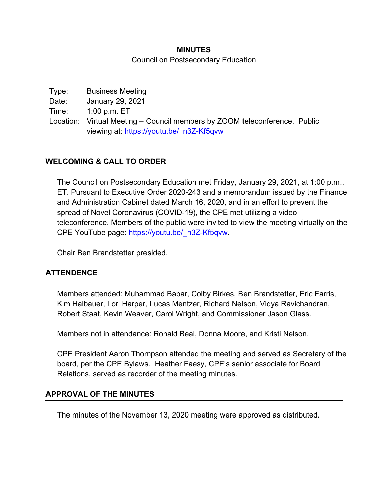### **MINUTES**  Council on Postsecondary Education

| Type: | <b>Business Meeting</b>                                                    |  |
|-------|----------------------------------------------------------------------------|--|
| Date: | January 29, 2021                                                           |  |
| Time: | 1:00 p.m. ET                                                               |  |
|       | Location: Virtual Meeting – Council members by ZOOM teleconference. Public |  |
|       | viewing at: https://youtu.be/ n3Z-Kf5qvw                                   |  |

# **WELCOMING & CALL TO ORDER**

The Council on Postsecondary Education met Friday, January 29, 2021, at 1:00 p.m., ET. Pursuant to Executive Order 2020-243 and a memorandum issued by the Finance and Administration Cabinet dated March 16, 2020, and in an effort to prevent the spread of Novel Coronavirus (COVID-19), the CPE met utilizing a video teleconference. Members of the public were invited to view the meeting virtually on the CPE YouTube page: https://youtu.be/\_n3Z-Kf5qvw.

Chair Ben Brandstetter presided.

### **ATTENDENCE**

Members attended: Muhammad Babar, Colby Birkes, Ben Brandstetter, Eric Farris, Kim Halbauer, Lori Harper, Lucas Mentzer, Richard Nelson, Vidya Ravichandran, Robert Staat, Kevin Weaver, Carol Wright, and Commissioner Jason Glass.

Members not in attendance: Ronald Beal, Donna Moore, and Kristi Nelson.

CPE President Aaron Thompson attended the meeting and served as Secretary of the board, per the CPE Bylaws. Heather Faesy, CPE's senior associate for Board Relations, served as recorder of the meeting minutes.

### **APPROVAL OF THE MINUTES**

The minutes of the November 13, 2020 meeting were approved as distributed.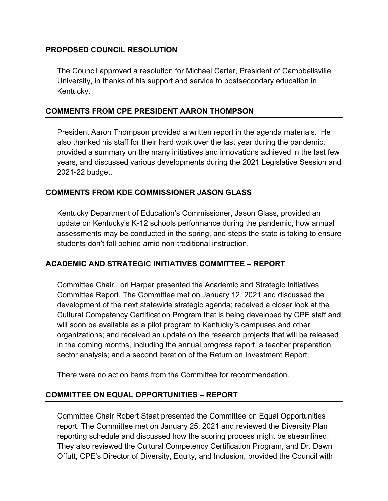### **PROPOSED COUNCIL RESOLUTION**

The Council approved a resolution for Michael Carter, President of Campbellsville University, in thanks of his support and service to postsecondary education in Kentucky.

### **COMMENTS FROM CPE PRESIDENT AARON THOMPSON**

President Aaron Thompson provided a written report in the agenda materials. He also thanked his staff for their hard work over the last year during the pandemic, provided a summary on the many initiatives and innovations achieved in the last few years, and discussed various developments during the 2021 Legislative Session and 2021-22 budget.

### **COMMENTS FROM KDE COMMISSIONER JASON GLASS**

Kentucky Department of Education's Commissioner, Jason Glass, provided an update on Kentucky's K-12 schools performance during the pandemic, how annual assessments may be conducted in the spring, and steps the state is taking to ensure students don't fall behind amid non-traditional instruction.

### **ACADEMIC AND STRATEGIC INITIATIVES COMMITTEE – REPORT**

Committee Chair Lori Harper presented the Academic and Strategic Initiatives Committee Report. The Committee met on January 12, 2021 and discussed the development of the next statewide strategic agenda; received a closer look at the Cultural Competency Certification Program that is being developed by CPE staff and will soon be available as a pilot program to Kentucky's campuses and other organizations; and received an update on the research projects that will be released in the coming months, including the annual progress report, a teacher preparation sector analysis; and a second iteration of the Return on Investment Report.

There were no action items from the Committee for recommendation.

#### **COMMITTEE ON EQUAL OPPORTUNITIES – REPORT**

Committee Chair Robert Staat presented the Committee on Equal Opportunities report. The Committee met on January 25, 2021 and reviewed the Diversity Plan reporting schedule and discussed how the scoring process might be streamlined. They also reviewed the Cultural Competency Certification Program, and Dr. Dawn Offutt, CPE's Director of Diversity, Equity, and Inclusion, provided the Council with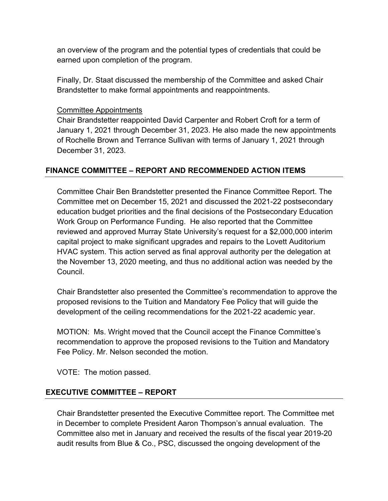an overview of the program and the potential types of credentials that could be earned upon completion of the program.

Finally, Dr. Staat discussed the membership of the Committee and asked Chair Brandstetter to make formal appointments and reappointments.

### Committee Appointments

Chair Brandstetter reappointed David Carpenter and Robert Croft for a term of January 1, 2021 through December 31, 2023. He also made the new appointments of Rochelle Brown and Terrance Sullivan with terms of January 1, 2021 through December 31, 2023.

# **FINANCE COMMITTEE – REPORT AND RECOMMENDED ACTION ITEMS**

Committee Chair Ben Brandstetter presented the Finance Committee Report. The Committee met on December 15, 2021 and discussed the 2021-22 postsecondary education budget priorities and the final decisions of the Postsecondary Education Work Group on Performance Funding. He also reported that the Committee reviewed and approved Murray State University's request for a \$2,000,000 interim capital project to make significant upgrades and repairs to the Lovett Auditorium HVAC system. This action served as final approval authority per the delegation at the November 13, 2020 meeting, and thus no additional action was needed by the Council.

Chair Brandstetter also presented the Committee's recommendation to approve the proposed revisions to the Tuition and Mandatory Fee Policy that will guide the development of the ceiling recommendations for the 2021-22 academic year.

MOTION: Ms. Wright moved that the Council accept the Finance Committee's recommendation to approve the proposed revisions to the Tuition and Mandatory Fee Policy. Mr. Nelson seconded the motion.

VOTE: The motion passed.

### **EXECUTIVE COMMITTEE – REPORT**

Chair Brandstetter presented the Executive Committee report. The Committee met in December to complete President Aaron Thompson's annual evaluation. The Committee also met in January and received the results of the fiscal year 2019-20 audit results from Blue & Co., PSC, discussed the ongoing development of the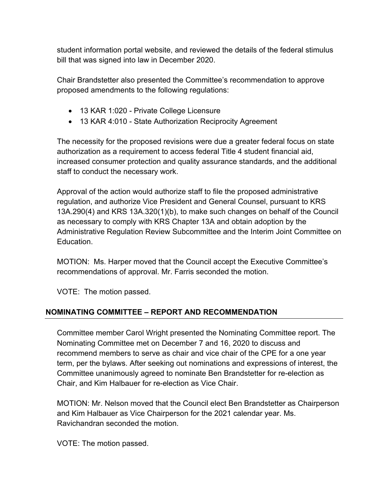student information portal website, and reviewed the details of the federal stimulus bill that was signed into law in December 2020.

Chair Brandstetter also presented the Committee's recommendation to approve proposed amendments to the following regulations:

- 13 KAR 1:020 Private College Licensure
- 13 KAR 4:010 State Authorization Reciprocity Agreement

The necessity for the proposed revisions were due a greater federal focus on state authorization as a requirement to access federal Title 4 student financial aid, increased consumer protection and quality assurance standards, and the additional staff to conduct the necessary work.

Approval of the action would authorize staff to file the proposed administrative regulation, and authorize Vice President and General Counsel, pursuant to KRS 13A.290(4) and KRS 13A.320(1)(b), to make such changes on behalf of the Council as necessary to comply with KRS Chapter 13A and obtain adoption by the Administrative Regulation Review Subcommittee and the Interim Joint Committee on Education.

MOTION: Ms. Harper moved that the Council accept the Executive Committee's recommendations of approval. Mr. Farris seconded the motion.

VOTE: The motion passed.

# **NOMINATING COMMITTEE – REPORT AND RECOMMENDATION**

Committee member Carol Wright presented the Nominating Committee report. The Nominating Committee met on December 7 and 16, 2020 to discuss and recommend members to serve as chair and vice chair of the CPE for a one year term, per the bylaws. After seeking out nominations and expressions of interest, the Committee unanimously agreed to nominate Ben Brandstetter for re-election as Chair, and Kim Halbauer for re-election as Vice Chair.

MOTION: Mr. Nelson moved that the Council elect Ben Brandstetter as Chairperson and Kim Halbauer as Vice Chairperson for the 2021 calendar year. Ms. Ravichandran seconded the motion.

VOTE: The motion passed.